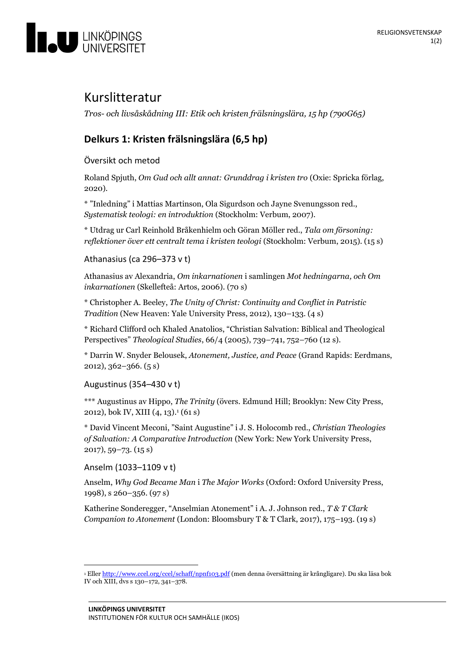

# Kurslitteratur

*Tros- och livsåskådning III: Etik och kristen frälsningslära, 15 hp (790G65)*

## **Delkurs 1: Kristen frälsningslära (6,5 hp)**

Översikt och metod

Roland Spjuth, *Om Gud och allt annat: Grunddrag i kristen tro* (Oxie: Spricka förlag, 2020).

\* "Inledning" i Mattias Martinson, Ola Sigurdson och Jayne Svenungsson red., *Systematisk teologi: en introduktion* (Stockholm: Verbum, 2007).

\* Utdrag ur Carl Reinhold Bråkenhielm och Göran Möller red., *Tala om försoning: reflektioner över ett centralt tema i kristen teologi* (Stockholm: Verbum, 2015). (15 s)

Athanasius (ca 296–373 v t)

Athanasius av Alexandria, *Om inkarnationen* i samlingen *Mot hedningarna, och Om inkarnationen* (Skellefteå: Artos, 2006). (70 s)

\* Christopher A. Beeley, *The Unity of Christ: Continuity and Conflict in Patristic Tradition* (New Heaven: Yale University Press, 2012), 130–133. (4 s)

\* Richard Clifford och Khaled Anatolios, "Christian Salvation: Biblical and Theological Perspectives" *Theological Studies*, 66/4 (2005), 739–741, 752–760 (12 s).

\* Darrin W. Snyder Belousek, *Atonement, Justice, and Peace* (Grand Rapids: Eerdmans, 2012), 362–366. (5 s)

Augustinus (354–430 v t)

\*\*\* Augustinus av Hippo, *The Trinity* (övers. Edmund Hill; Brooklyn: New City Press, 2012), bok IV, XIII (4, 13). <sup>1</sup> (61 s)

\* David Vincent Meconi, "Saint Augustine" i J. S. Holocomb red., *Christian Theologies of Salvation: A Comparative Introduction* (New York: New York University Press, 2017), 59–73. (15 s)

Anselm (1033–1109 v t)

Anselm, *Why God Became Man* i *The Major Works* (Oxford: Oxford University Press, 1998), s 260–356. (97 s)

Katherine Sonderegger, "Anselmian Atonement" i A. J. Johnson red., *T & T Clark Companion to Atonement* (London: Bloomsbury T & T Clark, 2017), 175–193. (19 s)

<sup>&</sup>lt;sup>1</sup> Elle[r http://www.ccel.org/ccel/schaff/npnf103.pdf](http://www.ccel.org/ccel/schaff/npnf103.pdf) (men denna översättning är krångligare). Du ska läsa bok IV och XIII, dvs s 130–172, 341–378.